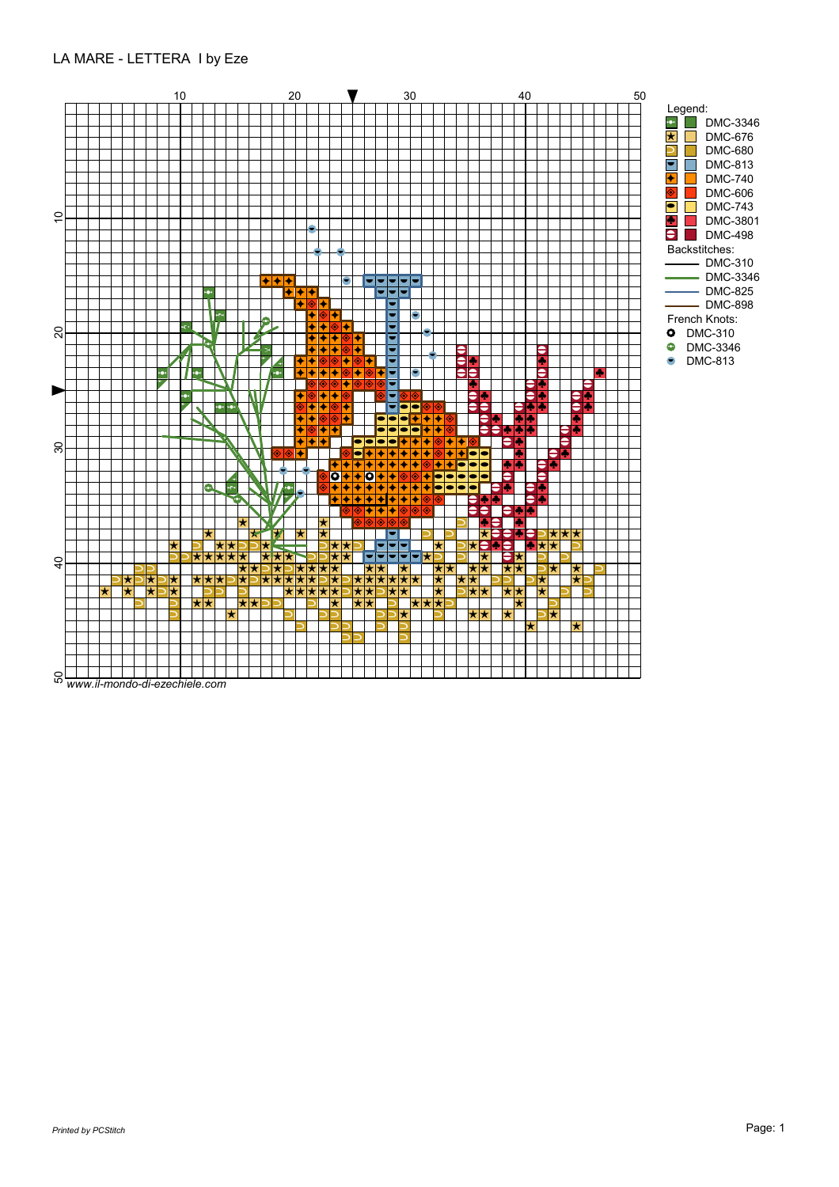## LA MARE - LETTERA I by Eze